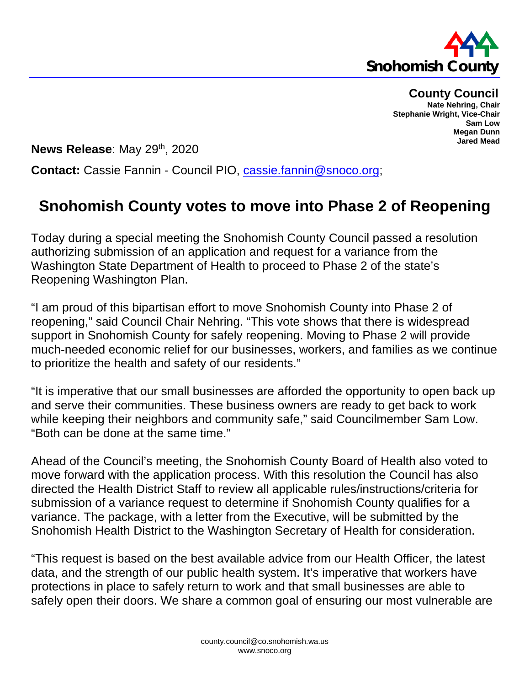

**County Council**

**Nate Nehring, Chair Stephanie Wright, Vice-Chair Sam Low Megan Dunn Jared Mead**

**News Release: May 29th, 2020** 

**Contact:** Cassie Fannin - Council PIO, [cassie.fannin@snoco.org;](mailto:cassie.fannin@snoco.org)

## **Snohomish County votes to move into Phase 2 of Reopening**

Today during a special meeting the Snohomish County Council passed a resolution authorizing submission of an application and request for a variance from the Washington State Department of Health to proceed to Phase 2 of the state's Reopening Washington Plan.

"I am proud of this bipartisan effort to move Snohomish County into Phase 2 of reopening," said Council Chair Nehring. "This vote shows that there is widespread support in Snohomish County for safely reopening. Moving to Phase 2 will provide much-needed economic relief for our businesses, workers, and families as we continue to prioritize the health and safety of our residents."

"It is imperative that our small businesses are afforded the opportunity to open back up and serve their communities. These business owners are ready to get back to work while keeping their neighbors and community safe," said Councilmember Sam Low. "Both can be done at the same time."

Ahead of the Council's meeting, the Snohomish County Board of Health also voted to move forward with the application process. With this resolution the Council has also directed the Health District Staff to review all applicable rules/instructions/criteria for submission of a variance request to determine if Snohomish County qualifies for a variance. The package, with a letter from the Executive, will be submitted by the Snohomish Health District to the Washington Secretary of Health for consideration.

"This request is based on the best available advice from our Health Officer, the latest data, and the strength of our public health system. It's imperative that workers have protections in place to safely return to work and that small businesses are able to safely open their doors. We share a common goal of ensuring our most vulnerable are